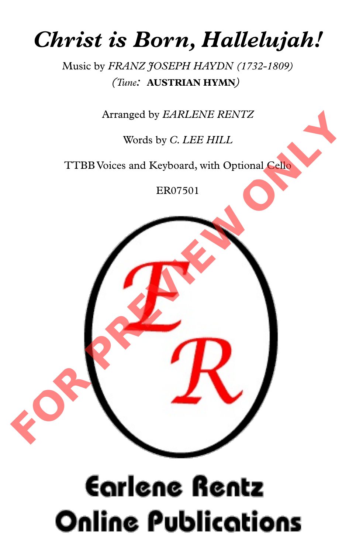## *Christ is Born, Hallelujah!*

Music by *FRANZ JOSEPH HAYDN (1732-1809) (Tune:* **AUSTRIAN HYMN***)*

Arranged by *EARLENE RENTZ*

Words by *C. LEE HILL*

TTBB Voices and Keyboard, with Optional Cello

ER07501



## **Earlene Rentz Online Publications**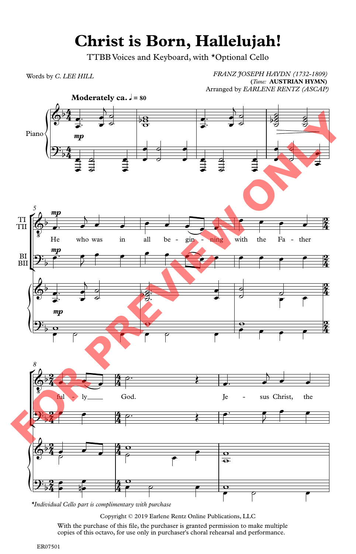## **Christ is Born, Hallelujah!**

TTBB Voices and Keyboard, with \*Optional Cello

Words by *C. LEE HILL*

*FRANZ JOSEPH HAYDN (1732-1809)* **(***Tune:* **AUSTRIAN HYMN)** Arranged by *EARLENE RENTZ (ASCAP)*



*\*Individual Cello part is complimentary with purchase*

Copyright © 2019 Earlene Rentz Online Publications, LLC With the purchase of this file, the purchaser is granted permission to make multiple copies of this octavo, for use only in purchaser's choral rehearsal and performance.

ER07501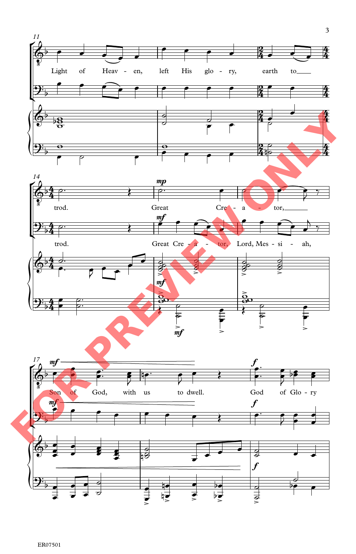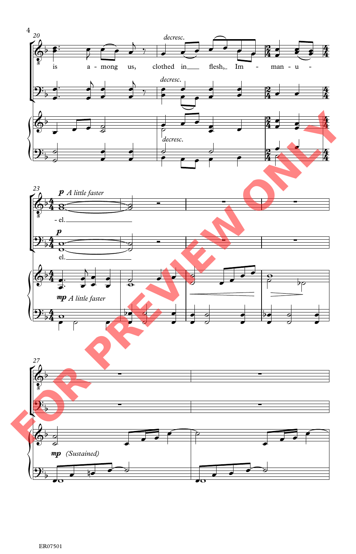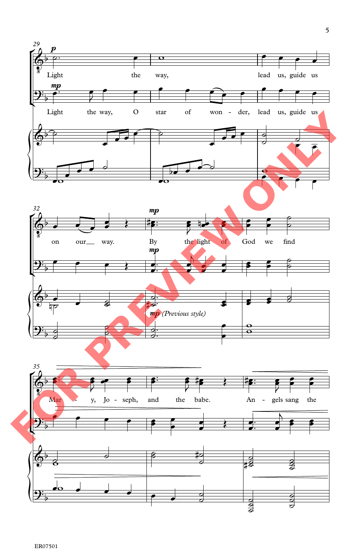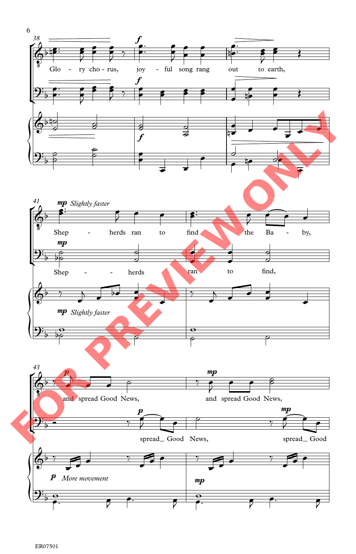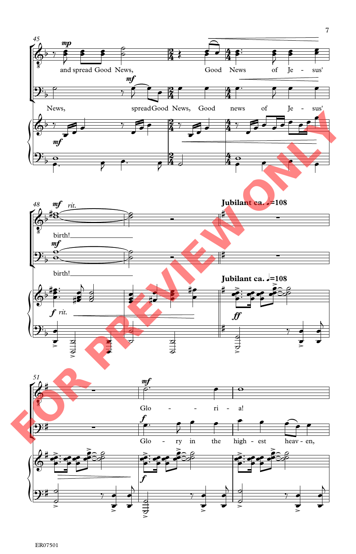